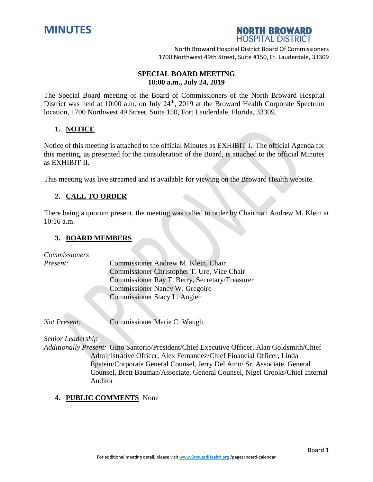



North Broward Hospital District Board Of Commissioners 1700 Northwest 49th Street, Suite #150, Ft. Lauderdale, 33309

## **SPECIAL BOARD MEETING 10:00 a.m., July 24, 2019**

The Special Board meeting of the Board of Commissioners of the North Broward Hospital District was held at 10:00 a.m. on July 24<sup>th</sup>, 2019 at the Broward Health Corporate Spectrum location, 1700 Northwest 49 Street, Suite 150, Fort Lauderdale, Florida, 33309.

## **1. NOTICE**

Notice of this meeting is attached to the official Minutes as EXHIBIT I. The official Agenda for this meeting, as presented for the consideration of the Board, is attached to the official Minutes as EXHIBIT II.

This meeting was live streamed and is available for viewing on the Broward Health website.

# **2. CALL TO ORDER**

There being a quorum present, the meeting was called to order by Chairman Andrew M. Klein at 10:16 a.m.

### **3. BOARD MEMBERS**

*Commissioners*

*Present:* Commissioner Andrew M. Klein, Chair Commissioner Christopher T. Ure, Vice Chair Commissioner Ray T. Berry, Secretary/Treasurer Commissioner Nancy W. Gregoire Commissioner Stacy L. Angier

*Not Present:* Commissioner Marie C. Waugh

#### *Senior Leadership*

*Additionally Present:* Gino Santorio/President/Chief Executive Officer, Alan Goldsmith/Chief Administrative Officer, Alex Fernandez/Chief Financial Officer, Linda Epstein/Corporate General Counsel, Jerry Del Amo/ Sr. Associate, General Counsel, Brett Bauman/Associate, General Counsel, Nigel Crooks/Chief Internal Auditor

### **4. PUBLIC COMMENTS** None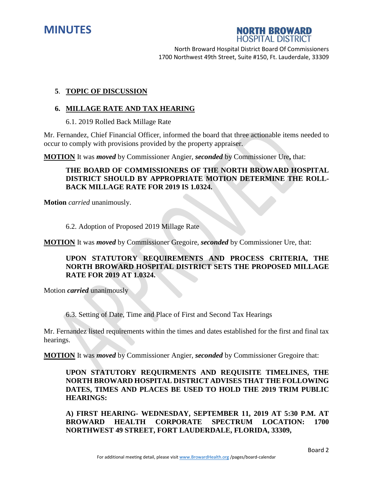



North Broward Hospital District Board Of Commissioners 1700 Northwest 49th Street, Suite #150, Ft. Lauderdale, 33309

### **5**. **TOPIC OF DISCUSSION**

#### **6. MILLAGE RATE AND TAX HEARING**

6.1. 2019 Rolled Back Millage Rate

Mr. Fernandez, Chief Financial Officer, informed the board that three actionable items needed to occur to comply with provisions provided by the property appraiser.

**MOTION** It was *moved* by Commissioner Angier, *seconded* by Commissioner Ure**,** that:

## **THE BOARD OF COMMISSIONERS OF THE NORTH BROWARD HOSPITAL DISTRICT SHOULD BY APPROPRIATE MOTION DETERMINE THE ROLL-BACK MILLAGE RATE FOR 2019 IS 1.0324.**

**Motion** *carried* unanimously.

#### 6.2. Adoption of Proposed 2019 Millage Rate

**MOTION** It was *moved* by Commissioner Gregoire, *seconded* by Commissioner Ure, that:

# **UPON STATUTORY REQUIREMENTS AND PROCESS CRITERIA, THE NORTH BROWARD HOSPITAL DISTRICT SETS THE PROPOSED MILLAGE RATE FOR 2019 AT 1.0324.**

Motion *carried* unanimously

6.3. Setting of Date, Time and Place of First and Second Tax Hearings

Mr. Fernandez listed requirements within the times and dates established for the first and final tax hearings.

**MOTION** It was *moved* by Commissioner Angier, *seconded* by Commissioner Gregoire that:

**UPON STATUTORY REQUIRMENTS AND REQUISITE TIMELINES, THE NORTH BROWARD HOSPITAL DISTRICT ADVISES THAT THE FOLLOWING DATES, TIMES AND PLACES BE USED TO HOLD THE 2019 TRIM PUBLIC HEARINGS:**

**A) FIRST HEARING- WEDNESDAY, SEPTEMBER 11, 2019 AT 5:30 P.M. AT BROWARD HEALTH CORPORATE SPECTRUM LOCATION: 1700 NORTHWEST 49 STREET, FORT LAUDERDALE, FLORIDA, 33309,**